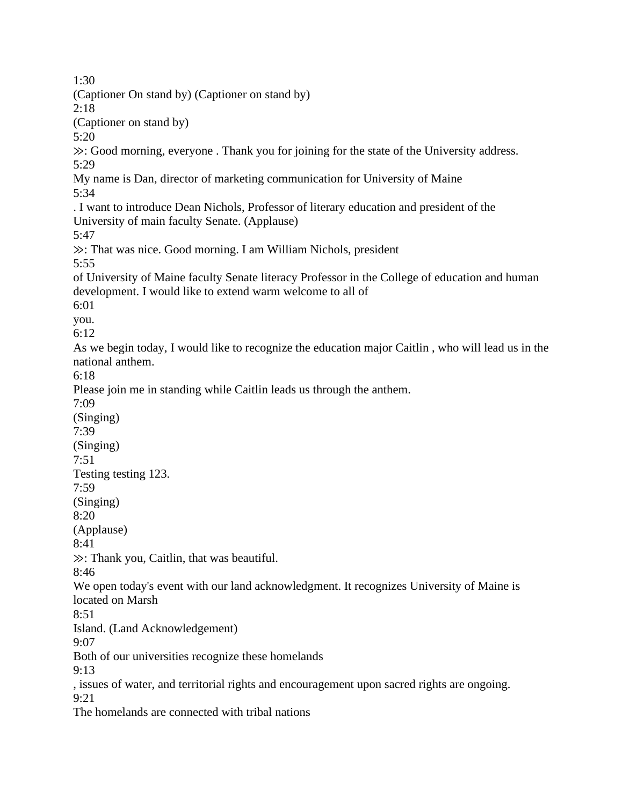1:30 (Captioner On stand by) (Captioner on stand by) 2:18 (Captioner on stand by) 5:20 ≫: Good morning, everyone . Thank you for joining for the state of the University address. 5:29 My name is Dan, director of marketing communication for University of Maine 5:34 . I want to introduce Dean Nichols, Professor of literary education and president of the University of main faculty Senate. (Applause) 5:47 ≫: That was nice. Good morning. I am William Nichols, president 5:55 of University of Maine faculty Senate literacy Professor in the College of education and human development. I would like to extend warm welcome to all of 6:01 you. 6:12 As we begin today, I would like to recognize the education major Caitlin , who will lead us in the national anthem. 6:18 Please join me in standing while Caitlin leads us through the anthem. 7:09 (Singing) 7:39 (Singing) 7:51 Testing testing 123. 7:59 (Singing) 8:20 (Applause) 8:41 ≫: Thank you, Caitlin, that was beautiful. 8:46 We open today's event with our land acknowledgment. It recognizes University of Maine is located on Marsh 8:51 Island. (Land Acknowledgement) 9:07 Both of our universities recognize these homelands 9:13 , issues of water, and territorial rights and encouragement upon sacred rights are ongoing. 9:21 The homelands are connected with tribal nations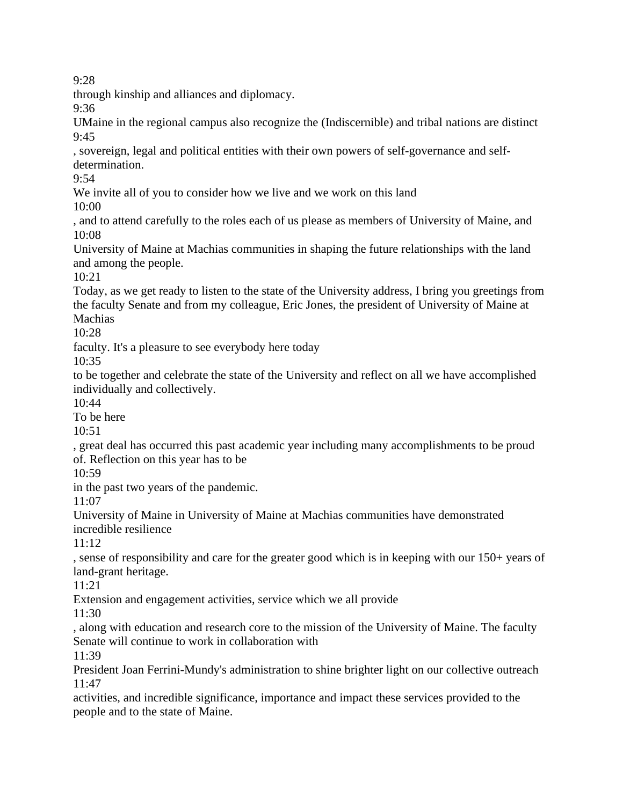through kinship and alliances and diplomacy.

9:36

UMaine in the regional campus also recognize the (Indiscernible) and tribal nations are distinct  $9:45$ 

, sovereign, legal and political entities with their own powers of self-governance and selfdetermination.

9:54

We invite all of you to consider how we live and we work on this land

10:00

, and to attend carefully to the roles each of us please as members of University of Maine, and 10:08

University of Maine at Machias communities in shaping the future relationships with the land and among the people.

 $10:21$ 

Today, as we get ready to listen to the state of the University address, I bring you greetings from the faculty Senate and from my colleague, Eric Jones, the president of University of Maine at Machias

10:28

faculty. It's a pleasure to see everybody here today

10:35

to be together and celebrate the state of the University and reflect on all we have accomplished individually and collectively.

10:44

To be here

10:51

, great deal has occurred this past academic year including many accomplishments to be proud of. Reflection on this year has to be

10:59

in the past two years of the pandemic.

11:07

University of Maine in University of Maine at Machias communities have demonstrated incredible resilience

11:12

, sense of responsibility and care for the greater good which is in keeping with our 150+ years of land-grant heritage.

11:21

Extension and engagement activities, service which we all provide

11:30

, along with education and research core to the mission of the University of Maine. The faculty Senate will continue to work in collaboration with

11:39

President Joan Ferrini-Mundy's administration to shine brighter light on our collective outreach 11:47

activities, and incredible significance, importance and impact these services provided to the people and to the state of Maine.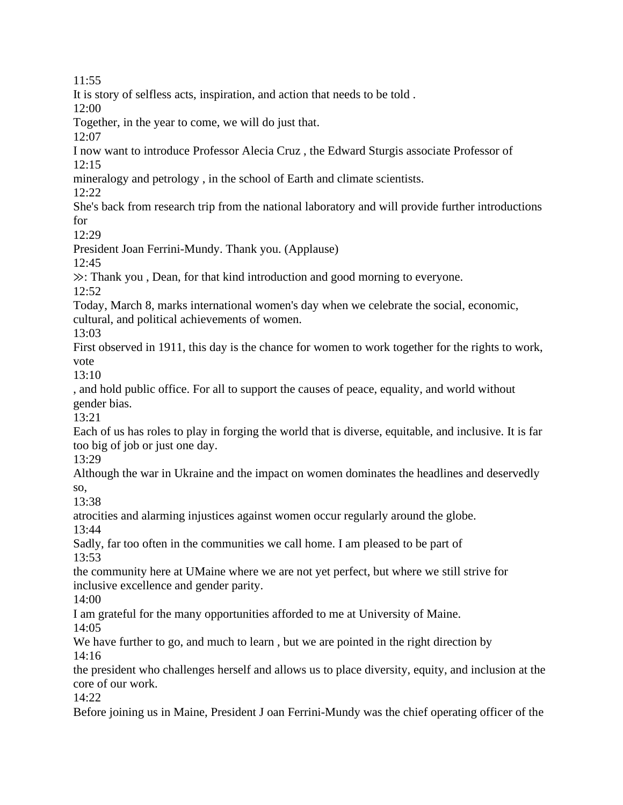It is story of selfless acts, inspiration, and action that needs to be told .

12:00

Together, in the year to come, we will do just that.

 $12:07$ 

I now want to introduce Professor Alecia Cruz , the Edward Sturgis associate Professor of 12:15

mineralogy and petrology , in the school of Earth and climate scientists.

12:22

She's back from research trip from the national laboratory and will provide further introductions for

 $12:29$ 

President Joan Ferrini-Mundy. Thank you. (Applause)

12:45

≫: Thank you , Dean, for that kind introduction and good morning to everyone.

12:52

Today, March 8, marks international women's day when we celebrate the social, economic,

cultural, and political achievements of women.

13:03

First observed in 1911, this day is the chance for women to work together for the rights to work, vote

13:10

, and hold public office. For all to support the causes of peace, equality, and world without gender bias.

13:21

Each of us has roles to play in forging the world that is diverse, equitable, and inclusive. It is far too big of job or just one day.

13:29

Although the war in Ukraine and the impact on women dominates the headlines and deservedly so,

13:38

atrocities and alarming injustices against women occur regularly around the globe.

13:44

Sadly, far too often in the communities we call home. I am pleased to be part of 13:53

the community here at UMaine where we are not yet perfect, but where we still strive for inclusive excellence and gender parity.

14:00

I am grateful for the many opportunities afforded to me at University of Maine.

14:05

We have further to go, and much to learn, but we are pointed in the right direction by 14:16

the president who challenges herself and allows us to place diversity, equity, and inclusion at the core of our work.

14:22

Before joining us in Maine, President J oan Ferrini-Mundy was the chief operating officer of the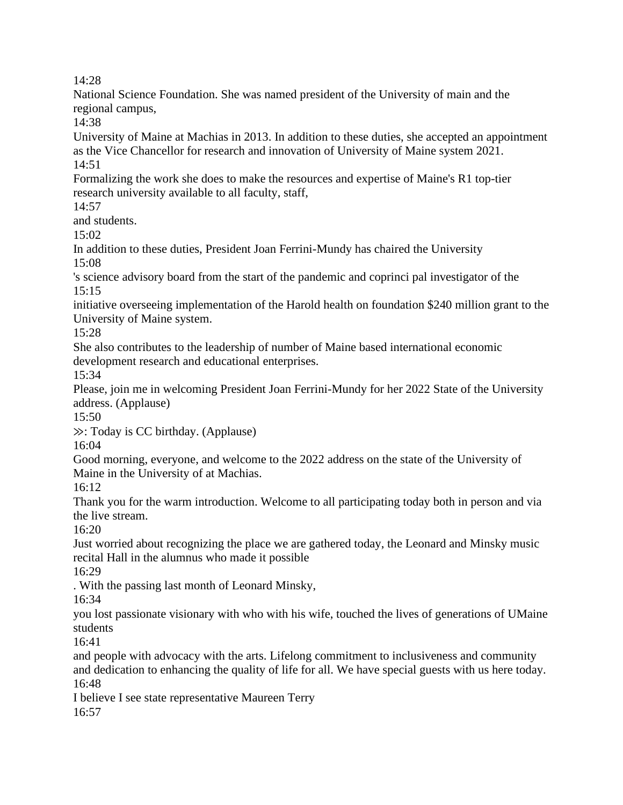National Science Foundation. She was named president of the University of main and the regional campus,

14:38

University of Maine at Machias in 2013. In addition to these duties, she accepted an appointment as the Vice Chancellor for research and innovation of University of Maine system 2021. 14:51

Formalizing the work she does to make the resources and expertise of Maine's R1 top-tier research university available to all faculty, staff,

 $14:57$ 

and students.

15:02

In addition to these duties, President Joan Ferrini-Mundy has chaired the University 15:08

's science advisory board from the start of the pandemic and coprinci pal investigator of the 15:15

initiative overseeing implementation of the Harold health on foundation \$240 million grant to the University of Maine system.

15:28

She also contributes to the leadership of number of Maine based international economic development research and educational enterprises.

15:34

Please, join me in welcoming President Joan Ferrini-Mundy for her 2022 State of the University address. (Applause)

15:50

≫: Today is CC birthday. (Applause)

16:04

Good morning, everyone, and welcome to the 2022 address on the state of the University of Maine in the University of at Machias.

16:12

Thank you for the warm introduction. Welcome to all participating today both in person and via the live stream.

16:20

Just worried about recognizing the place we are gathered today, the Leonard and Minsky music recital Hall in the alumnus who made it possible

16:29

. With the passing last month of Leonard Minsky,

16:34

you lost passionate visionary with who with his wife, touched the lives of generations of UMaine students

16:41

and people with advocacy with the arts. Lifelong commitment to inclusiveness and community and dedication to enhancing the quality of life for all. We have special guests with us here today. 16:48

I believe I see state representative Maureen Terry 16:57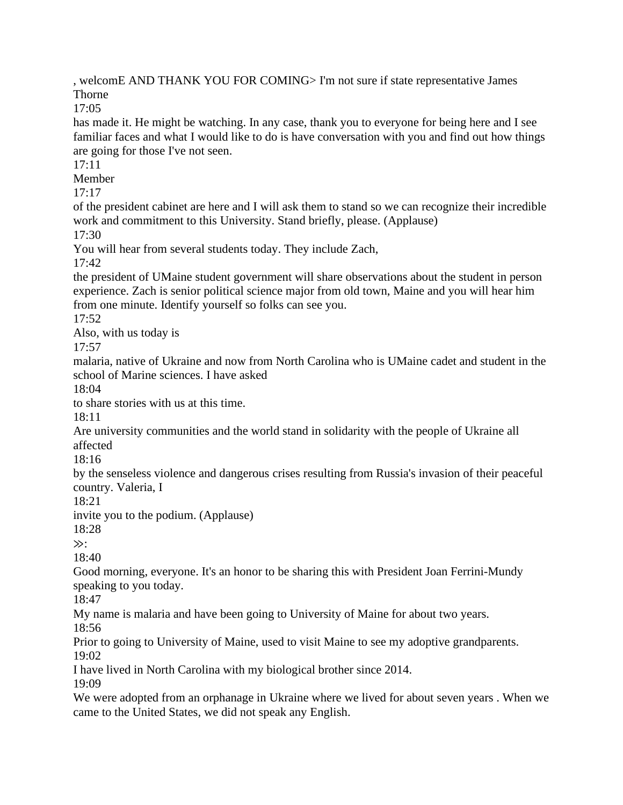, welcomE AND THANK YOU FOR COMING> I'm not sure if state representative James Thorne

17:05

has made it. He might be watching. In any case, thank you to everyone for being here and I see familiar faces and what I would like to do is have conversation with you and find out how things are going for those I've not seen.

 $17:11$ 

Member

17:17

of the president cabinet are here and I will ask them to stand so we can recognize their incredible work and commitment to this University. Stand briefly, please. (Applause)

17:30

You will hear from several students today. They include Zach,

17:42

the president of UMaine student government will share observations about the student in person experience. Zach is senior political science major from old town, Maine and you will hear him from one minute. Identify yourself so folks can see you.

17:52

Also, with us today is

17:57

malaria, native of Ukraine and now from North Carolina who is UMaine cadet and student in the school of Marine sciences. I have asked

18:04

to share stories with us at this time.

 $18.11$ 

Are university communities and the world stand in solidarity with the people of Ukraine all affected

18:16

by the senseless violence and dangerous crises resulting from Russia's invasion of their peaceful country. Valeria, I

18:21

invite you to the podium. (Applause)

18:28

≫:

18:40

Good morning, everyone. It's an honor to be sharing this with President Joan Ferrini-Mundy speaking to you today.

18:47

My name is malaria and have been going to University of Maine for about two years.

18:56

Prior to going to University of Maine, used to visit Maine to see my adoptive grandparents. 19:02

I have lived in North Carolina with my biological brother since 2014.

19:09

We were adopted from an orphanage in Ukraine where we lived for about seven years . When we came to the United States, we did not speak any English.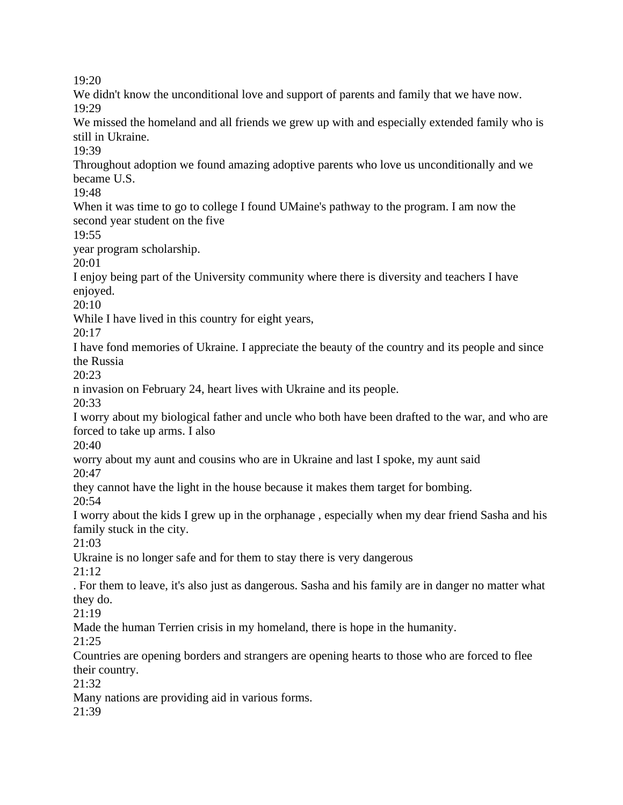We didn't know the unconditional love and support of parents and family that we have now. 19:29

We missed the homeland and all friends we grew up with and especially extended family who is still in Ukraine.

19:39

Throughout adoption we found amazing adoptive parents who love us unconditionally and we became U.S.

19:48

When it was time to go to college I found UMaine's pathway to the program. I am now the second year student on the five

19:55

year program scholarship.

20:01

I enjoy being part of the University community where there is diversity and teachers I have enjoyed.

20:10

While I have lived in this country for eight years,

20:17

I have fond memories of Ukraine. I appreciate the beauty of the country and its people and since the Russia

20:23

n invasion on February 24, heart lives with Ukraine and its people.

20:33

I worry about my biological father and uncle who both have been drafted to the war, and who are forced to take up arms. I also

20:40

worry about my aunt and cousins who are in Ukraine and last I spoke, my aunt said

20:47

they cannot have the light in the house because it makes them target for bombing.

20:54

I worry about the kids I grew up in the orphanage , especially when my dear friend Sasha and his family stuck in the city.

21:03

Ukraine is no longer safe and for them to stay there is very dangerous

21:12

. For them to leave, it's also just as dangerous. Sasha and his family are in danger no matter what they do.

21:19

Made the human Terrien crisis in my homeland, there is hope in the humanity.

21:25

Countries are opening borders and strangers are opening hearts to those who are forced to flee their country.

21:32

Many nations are providing aid in various forms.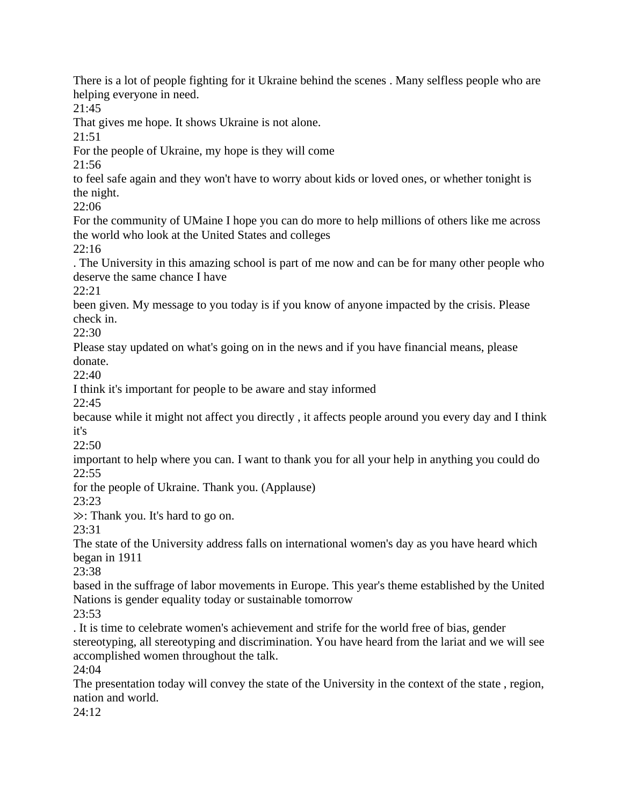There is a lot of people fighting for it Ukraine behind the scenes . Many selfless people who are helping everyone in need.

21:45

That gives me hope. It shows Ukraine is not alone.

 $21:51$ 

For the people of Ukraine, my hope is they will come

21:56

to feel safe again and they won't have to worry about kids or loved ones, or whether tonight is the night.

22:06

For the community of UMaine I hope you can do more to help millions of others like me across the world who look at the United States and colleges

22:16

. The University in this amazing school is part of me now and can be for many other people who deserve the same chance I have

22:21

been given. My message to you today is if you know of anyone impacted by the crisis. Please check in.

22:30

Please stay updated on what's going on in the news and if you have financial means, please donate.

22:40

I think it's important for people to be aware and stay informed

22:45

because while it might not affect you directly , it affects people around you every day and I think it's

22:50

important to help where you can. I want to thank you for all your help in anything you could do 22:55

for the people of Ukraine. Thank you. (Applause)

23:23

≫: Thank you. It's hard to go on.

23:31

The state of the University address falls on international women's day as you have heard which began in 1911

23:38

based in the suffrage of labor movements in Europe. This year's theme established by the United Nations is gender equality today or sustainable tomorrow

23:53

. It is time to celebrate women's achievement and strife for the world free of bias, gender stereotyping, all stereotyping and discrimination. You have heard from the lariat and we will see accomplished women throughout the talk.

24:04

The presentation today will convey the state of the University in the context of the state , region, nation and world.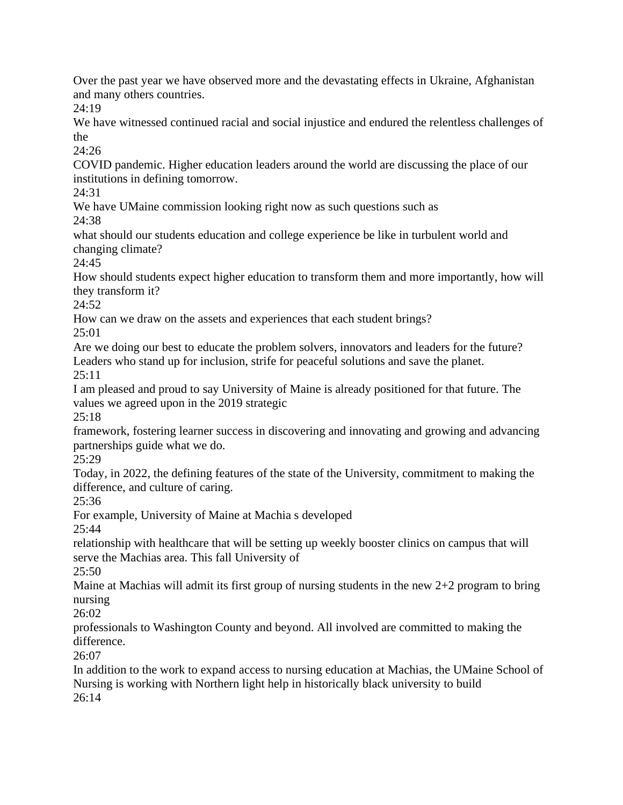Over the past year we have observed more and the devastating effects in Ukraine, Afghanistan and many others countries.

24:19

We have witnessed continued racial and social injustice and endured the relentless challenges of the

24:26

COVID pandemic. Higher education leaders around the world are discussing the place of our institutions in defining tomorrow.

24:31

We have UMaine commission looking right now as such questions such as

24:38

what should our students education and college experience be like in turbulent world and changing climate?

24:45

How should students expect higher education to transform them and more importantly, how will they transform it?

 $24:52$ 

How can we draw on the assets and experiences that each student brings?

25:01

Are we doing our best to educate the problem solvers, innovators and leaders for the future? Leaders who stand up for inclusion, strife for peaceful solutions and save the planet. 25:11

I am pleased and proud to say University of Maine is already positioned for that future. The values we agreed upon in the 2019 strategic

25:18

framework, fostering learner success in discovering and innovating and growing and advancing partnerships guide what we do.

25:29

Today, in 2022, the defining features of the state of the University, commitment to making the difference, and culture of caring.

 $25:36$ 

For example, University of Maine at Machia s developed

25:44

relationship with healthcare that will be setting up weekly booster clinics on campus that will serve the Machias area. This fall University of

25:50

Maine at Machias will admit its first group of nursing students in the new  $2+2$  program to bring nursing

26:02

professionals to Washington County and beyond. All involved are committed to making the difference.

26:07

In addition to the work to expand access to nursing education at Machias, the UMaine School of Nursing is working with Northern light help in historically black university to build  $26:14$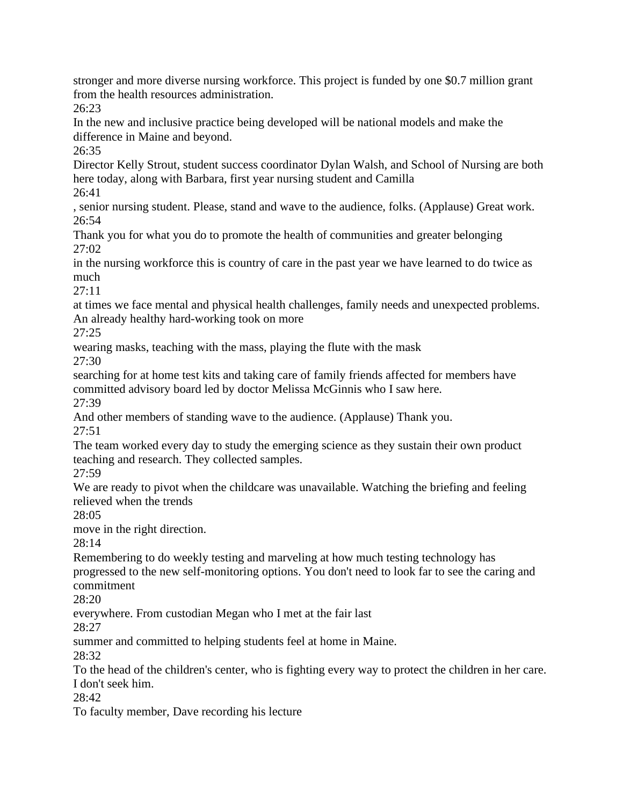stronger and more diverse nursing workforce. This project is funded by one \$0.7 million grant from the health resources administration.

26:23

In the new and inclusive practice being developed will be national models and make the difference in Maine and beyond.

26:35

Director Kelly Strout, student success coordinator Dylan Walsh, and School of Nursing are both here today, along with Barbara, first year nursing student and Camilla

26:41

, senior nursing student. Please, stand and wave to the audience, folks. (Applause) Great work. 26:54

Thank you for what you do to promote the health of communities and greater belonging 27:02

in the nursing workforce this is country of care in the past year we have learned to do twice as much

27:11

at times we face mental and physical health challenges, family needs and unexpected problems. An already healthy hard-working took on more

27:25

wearing masks, teaching with the mass, playing the flute with the mask

27:30

searching for at home test kits and taking care of family friends affected for members have committed advisory board led by doctor Melissa McGinnis who I saw here.

27:39

And other members of standing wave to the audience. (Applause) Thank you. 27:51

The team worked every day to study the emerging science as they sustain their own product teaching and research. They collected samples.

27:59

We are ready to pivot when the childcare was unavailable. Watching the briefing and feeling relieved when the trends

28:05

move in the right direction.

28:14

Remembering to do weekly testing and marveling at how much testing technology has progressed to the new self-monitoring options. You don't need to look far to see the caring and commitment

28:20

everywhere. From custodian Megan who I met at the fair last

28:27

summer and committed to helping students feel at home in Maine.

28:32

To the head of the children's center, who is fighting every way to protect the children in her care. I don't seek him.

28:42

To faculty member, Dave recording his lecture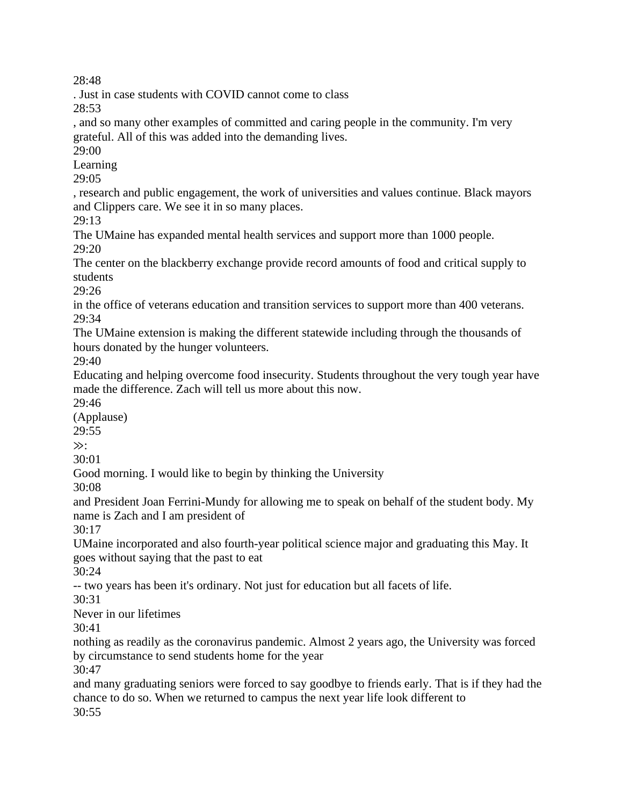. Just in case students with COVID cannot come to class

28:53

, and so many other examples of committed and caring people in the community. I'm very grateful. All of this was added into the demanding lives.

29:00

Learning

29:05

, research and public engagement, the work of universities and values continue. Black mayors and Clippers care. We see it in so many places.

29:13

The UMaine has expanded mental health services and support more than 1000 people. 29:20

The center on the blackberry exchange provide record amounts of food and critical supply to students

29:26

in the office of veterans education and transition services to support more than 400 veterans. 29:34

The UMaine extension is making the different statewide including through the thousands of hours donated by the hunger volunteers.

29:40

Educating and helping overcome food insecurity. Students throughout the very tough year have made the difference. Zach will tell us more about this now.

29:46

(Applause)

29:55

≫:

30:01

Good morning. I would like to begin by thinking the University

30:08

and President Joan Ferrini-Mundy for allowing me to speak on behalf of the student body. My name is Zach and I am president of

30:17

UMaine incorporated and also fourth-year political science major and graduating this May. It goes without saying that the past to eat

30:24

-- two years has been it's ordinary. Not just for education but all facets of life.

30:31

Never in our lifetimes

30:41

nothing as readily as the coronavirus pandemic. Almost 2 years ago, the University was forced by circumstance to send students home for the year

30:47

and many graduating seniors were forced to say goodbye to friends early. That is if they had the chance to do so. When we returned to campus the next year life look different to 30:55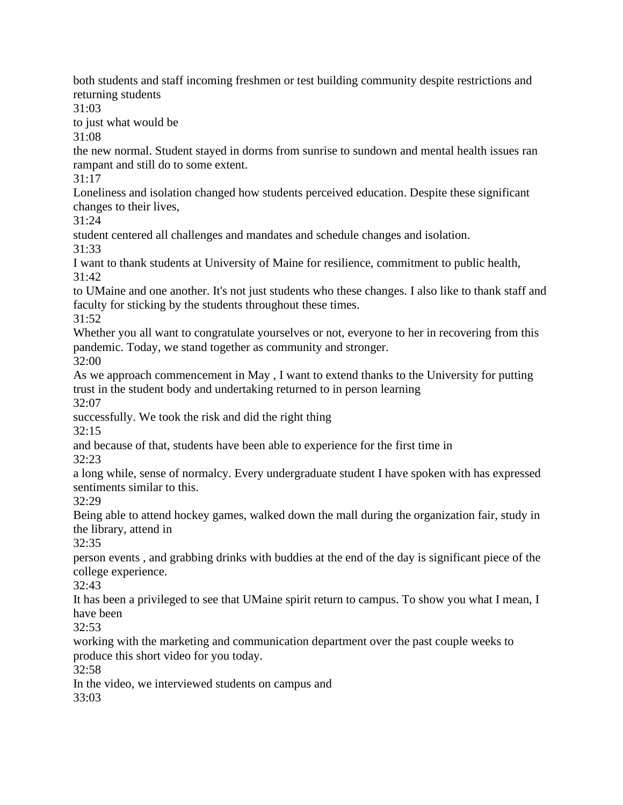both students and staff incoming freshmen or test building community despite restrictions and returning students

31:03

to just what would be

31:08

the new normal. Student stayed in dorms from sunrise to sundown and mental health issues ran rampant and still do to some extent.

31:17

Loneliness and isolation changed how students perceived education. Despite these significant changes to their lives,

 $31.24$ 

student centered all challenges and mandates and schedule changes and isolation. 31:33

I want to thank students at University of Maine for resilience, commitment to public health,  $31:42$ 

to UMaine and one another. It's not just students who these changes. I also like to thank staff and faculty for sticking by the students throughout these times.

31:52

Whether you all want to congratulate yourselves or not, everyone to her in recovering from this pandemic. Today, we stand together as community and stronger.

32:00

As we approach commencement in May , I want to extend thanks to the University for putting trust in the student body and undertaking returned to in person learning

32:07

successfully. We took the risk and did the right thing

32:15

and because of that, students have been able to experience for the first time in

32:23

a long while, sense of normalcy. Every undergraduate student I have spoken with has expressed sentiments similar to this.

32:29

Being able to attend hockey games, walked down the mall during the organization fair, study in the library, attend in

32:35

person events , and grabbing drinks with buddies at the end of the day is significant piece of the college experience.

32:43

It has been a privileged to see that UMaine spirit return to campus. To show you what I mean, I have been

32:53

working with the marketing and communication department over the past couple weeks to produce this short video for you today.

32:58

In the video, we interviewed students on campus and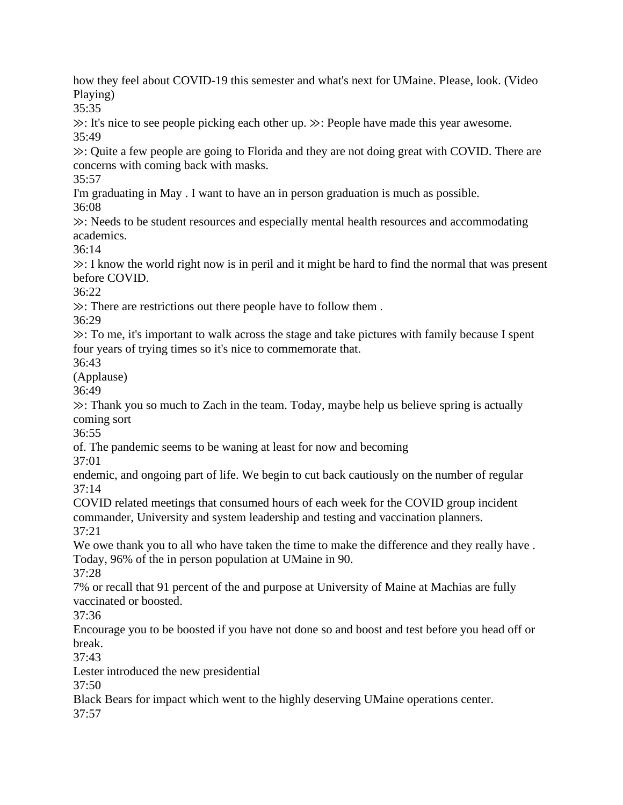how they feel about COVID-19 this semester and what's next for UMaine. Please, look. (Video Playing)

35:35

≫: It's nice to see people picking each other up. ≫: People have made this year awesome. 35:49

≫: Quite a few people are going to Florida and they are not doing great with COVID. There are concerns with coming back with masks.

35:57

I'm graduating in May . I want to have an in person graduation is much as possible.

36:08

≫: Needs to be student resources and especially mental health resources and accommodating academics.

36:14

≫: I know the world right now is in peril and it might be hard to find the normal that was present before COVID.

36:22

≫: There are restrictions out there people have to follow them .

36:29

≫: To me, it's important to walk across the stage and take pictures with family because I spent four years of trying times so it's nice to commemorate that.

36:43

(Applause)

36:49

≫: Thank you so much to Zach in the team. Today, maybe help us believe spring is actually coming sort

36:55

of. The pandemic seems to be waning at least for now and becoming

37:01

endemic, and ongoing part of life. We begin to cut back cautiously on the number of regular 37:14

COVID related meetings that consumed hours of each week for the COVID group incident commander, University and system leadership and testing and vaccination planners. 37:21

We owe thank you to all who have taken the time to make the difference and they really have. Today, 96% of the in person population at UMaine in 90.

37:28

7% or recall that 91 percent of the and purpose at University of Maine at Machias are fully vaccinated or boosted.

37:36

Encourage you to be boosted if you have not done so and boost and test before you head off or break.

37:43

Lester introduced the new presidential

37:50

Black Bears for impact which went to the highly deserving UMaine operations center.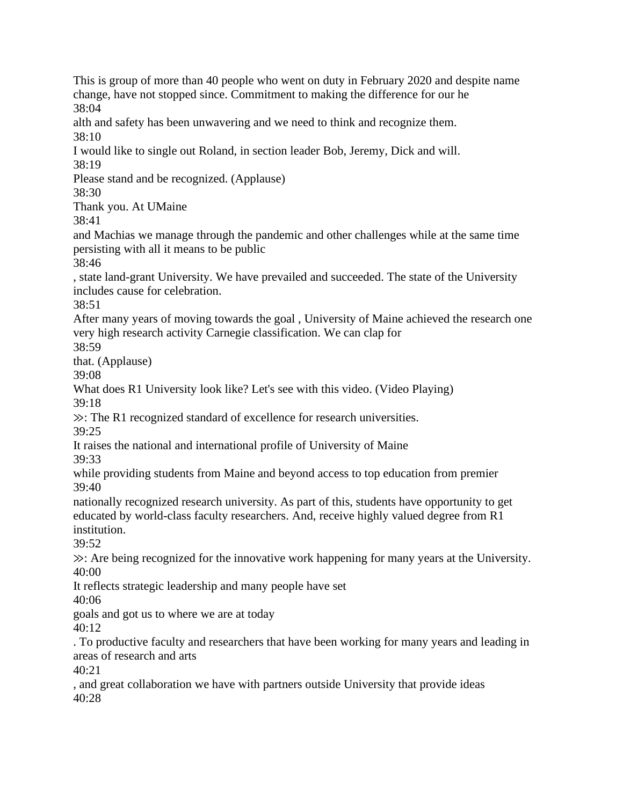This is group of more than 40 people who went on duty in February 2020 and despite name change, have not stopped since. Commitment to making the difference for our he 38:04 alth and safety has been unwavering and we need to think and recognize them.  $38:10$ I would like to single out Roland, in section leader Bob, Jeremy, Dick and will. 38:19 Please stand and be recognized. (Applause) 38:30

Thank you. At UMaine

38:41

and Machias we manage through the pandemic and other challenges while at the same time persisting with all it means to be public

38:46

, state land-grant University. We have prevailed and succeeded. The state of the University includes cause for celebration.

 $38.51$ 

After many years of moving towards the goal , University of Maine achieved the research one very high research activity Carnegie classification. We can clap for

38:59

that. (Applause)

39:08

What does R1 University look like? Let's see with this video. (Video Playing) 39:18

≫: The R1 recognized standard of excellence for research universities.

39:25

It raises the national and international profile of University of Maine

39:33

while providing students from Maine and beyond access to top education from premier 39:40

nationally recognized research university. As part of this, students have opportunity to get educated by world-class faculty researchers. And, receive highly valued degree from R1 institution.

39:52

≫: Are being recognized for the innovative work happening for many years at the University. 40:00

It reflects strategic leadership and many people have set

40:06

goals and got us to where we are at today

40:12

. To productive faculty and researchers that have been working for many years and leading in areas of research and arts

 $40:21$ 

, and great collaboration we have with partners outside University that provide ideas 40:28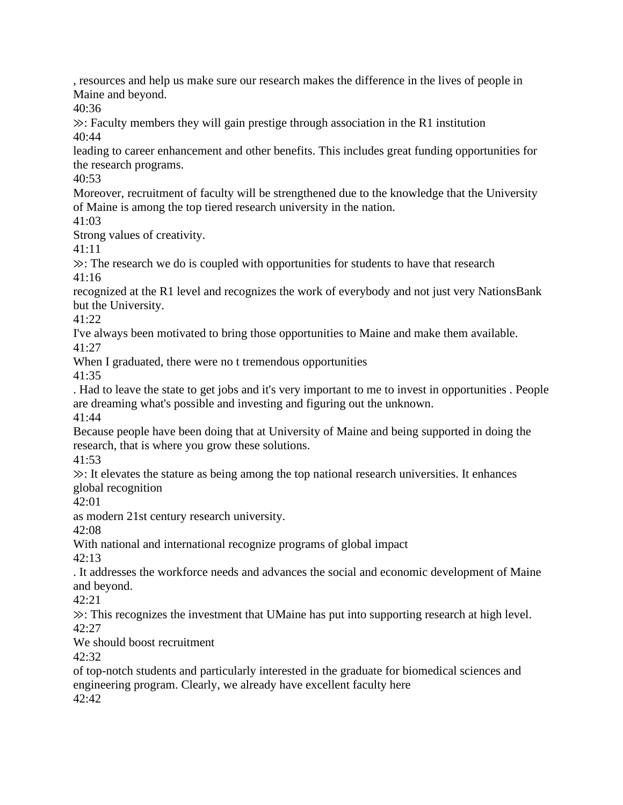, resources and help us make sure our research makes the difference in the lives of people in Maine and beyond.

40:36

≫: Faculty members they will gain prestige through association in the R1 institution 40:44

leading to career enhancement and other benefits. This includes great funding opportunities for the research programs.

40:53

Moreover, recruitment of faculty will be strengthened due to the knowledge that the University of Maine is among the top tiered research university in the nation.

41:03

Strong values of creativity.

41:11

≫: The research we do is coupled with opportunities for students to have that research 41:16

recognized at the R1 level and recognizes the work of everybody and not just very NationsBank but the University.

41:22

I've always been motivated to bring those opportunities to Maine and make them available. 41:27

When I graduated, there were no t tremendous opportunities

41:35

. Had to leave the state to get jobs and it's very important to me to invest in opportunities . People are dreaming what's possible and investing and figuring out the unknown. 41:44

Because people have been doing that at University of Maine and being supported in doing the research, that is where you grow these solutions.

41:53

≫: It elevates the stature as being among the top national research universities. It enhances global recognition

42:01

as modern 21st century research university.

42:08

With national and international recognize programs of global impact

42:13

. It addresses the workforce needs and advances the social and economic development of Maine and beyond.

42:21

≫: This recognizes the investment that UMaine has put into supporting research at high level.  $42:27$ 

We should boost recruitment

42:32

of top-notch students and particularly interested in the graduate for biomedical sciences and engineering program. Clearly, we already have excellent faculty here 42:42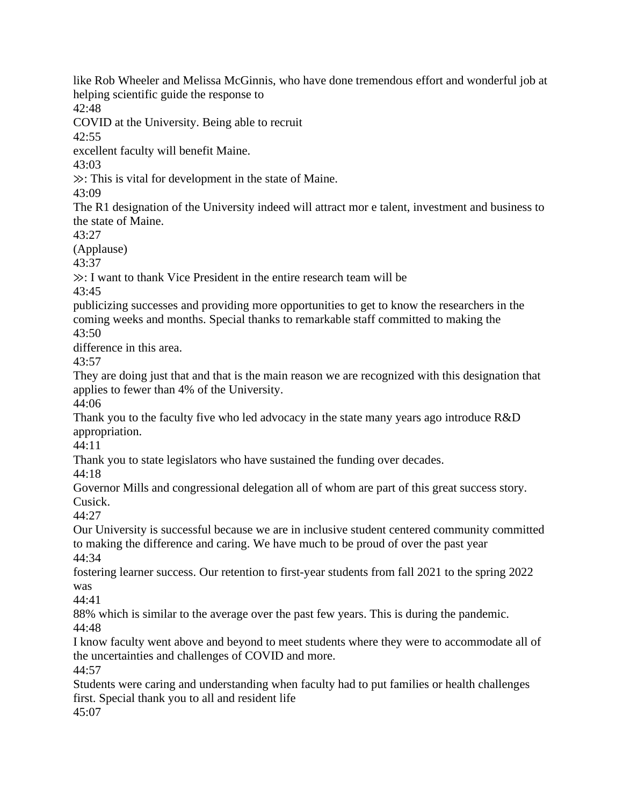like Rob Wheeler and Melissa McGinnis, who have done tremendous effort and wonderful job at helping scientific guide the response to 42:48 COVID at the University. Being able to recruit 42:55 excellent faculty will benefit Maine. 43:03 ≫: This is vital for development in the state of Maine. 43:09 The R1 designation of the University indeed will attract mor e talent, investment and business to the state of Maine. 43:27 (Applause) 43:37 ≫: I want to thank Vice President in the entire research team will be 43:45 publicizing successes and providing more opportunities to get to know the researchers in the coming weeks and months. Special thanks to remarkable staff committed to making the 43:50 difference in this area. 43:57 They are doing just that and that is the main reason we are recognized with this designation that applies to fewer than 4% of the University. 44:06 Thank you to the faculty five who led advocacy in the state many years ago introduce R&D appropriation. 44:11 Thank you to state legislators who have sustained the funding over decades. 44:18 Governor Mills and congressional delegation all of whom are part of this great success story. Cusick. 44:27 Our University is successful because we are in inclusive student centered community committed to making the difference and caring. We have much to be proud of over the past year 44:34 fostering learner success. Our retention to first-year students from fall 2021 to the spring 2022 was 44:41 88% which is similar to the average over the past few years. This is during the pandemic. 44:48 I know faculty went above and beyond to meet students where they were to accommodate all of the uncertainties and challenges of COVID and more. 44:57 Students were caring and understanding when faculty had to put families or health challenges first. Special thank you to all and resident life 45:07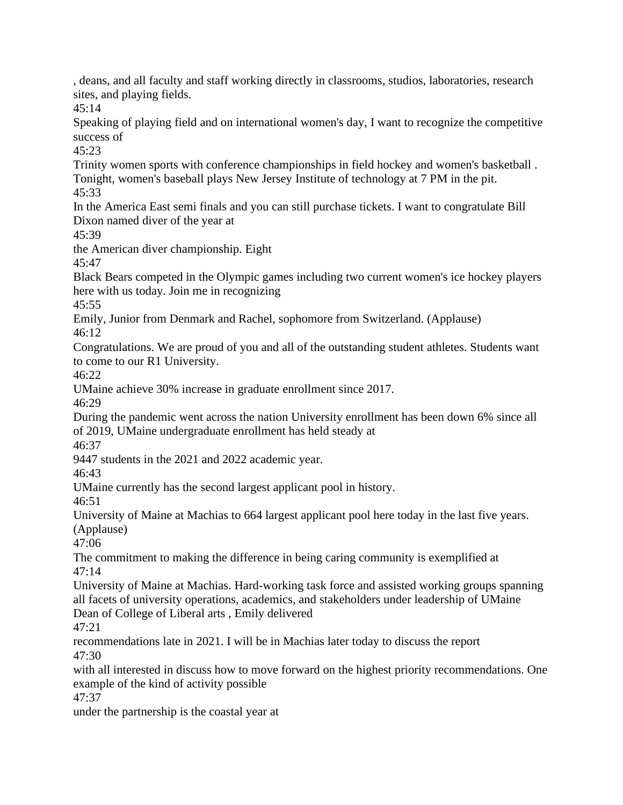, deans, and all faculty and staff working directly in classrooms, studios, laboratories, research sites, and playing fields.

45:14

Speaking of playing field and on international women's day, I want to recognize the competitive success of

45:23

Trinity women sports with conference championships in field hockey and women's basketball . Tonight, women's baseball plays New Jersey Institute of technology at 7 PM in the pit. 45:33

In the America East semi finals and you can still purchase tickets. I want to congratulate Bill Dixon named diver of the year at

45:39

the American diver championship. Eight

45:47

Black Bears competed in the Olympic games including two current women's ice hockey players here with us today. Join me in recognizing

45:55

Emily, Junior from Denmark and Rachel, sophomore from Switzerland. (Applause) 46:12

Congratulations. We are proud of you and all of the outstanding student athletes. Students want to come to our R1 University.

46:22

UMaine achieve 30% increase in graduate enrollment since 2017.

46:29

During the pandemic went across the nation University enrollment has been down 6% since all of 2019, UMaine undergraduate enrollment has held steady at

46:37

9447 students in the 2021 and 2022 academic year.

46:43

UMaine currently has the second largest applicant pool in history.

46:51

University of Maine at Machias to 664 largest applicant pool here today in the last five years. (Applause)

47:06

The commitment to making the difference in being caring community is exemplified at 47:14

University of Maine at Machias. Hard-working task force and assisted working groups spanning all facets of university operations, academics, and stakeholders under leadership of UMaine Dean of College of Liberal arts , Emily delivered

47:21

recommendations late in 2021. I will be in Machias later today to discuss the report 47:30

with all interested in discuss how to move forward on the highest priority recommendations. One example of the kind of activity possible

47:37

under the partnership is the coastal year at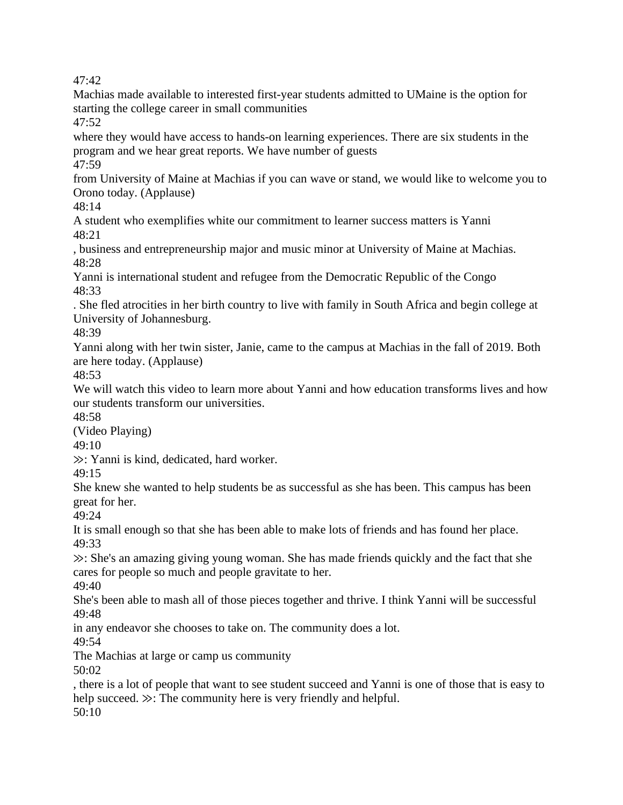Machias made available to interested first-year students admitted to UMaine is the option for starting the college career in small communities 47:52

where they would have access to hands-on learning experiences. There are six students in the program and we hear great reports. We have number of guests 47:59

from University of Maine at Machias if you can wave or stand, we would like to welcome you to Orono today. (Applause)

48:14

A student who exemplifies white our commitment to learner success matters is Yanni 48:21

, business and entrepreneurship major and music minor at University of Maine at Machias. 48:28

Yanni is international student and refugee from the Democratic Republic of the Congo 48:33

. She fled atrocities in her birth country to live with family in South Africa and begin college at University of Johannesburg.

48:39

Yanni along with her twin sister, Janie, came to the campus at Machias in the fall of 2019. Both are here today. (Applause)

48:53

We will watch this video to learn more about Yanni and how education transforms lives and how our students transform our universities.

48:58

(Video Playing)

49:10

≫: Yanni is kind, dedicated, hard worker.

 $49:15$ 

She knew she wanted to help students be as successful as she has been. This campus has been great for her.

49:24

It is small enough so that she has been able to make lots of friends and has found her place. 49:33

≫: She's an amazing giving young woman. She has made friends quickly and the fact that she cares for people so much and people gravitate to her.

49:40

She's been able to mash all of those pieces together and thrive. I think Yanni will be successful 49:48

in any endeavor she chooses to take on. The community does a lot.

49:54

The Machias at large or camp us community

50:02

, there is a lot of people that want to see student succeed and Yanni is one of those that is easy to help succeed. ≫: The community here is very friendly and helpful.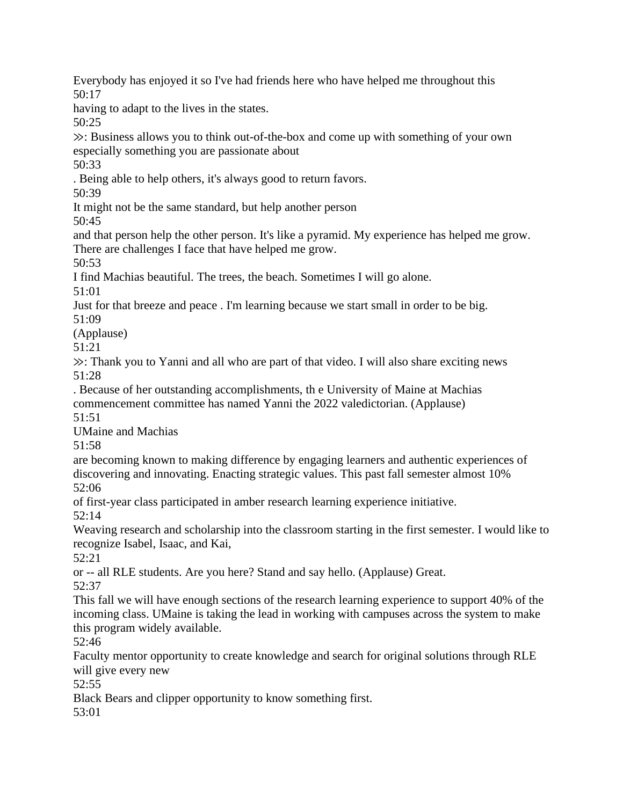Everybody has enjoyed it so I've had friends here who have helped me throughout this 50:17

having to adapt to the lives in the states.

50:25

≫: Business allows you to think out-of-the-box and come up with something of your own especially something you are passionate about

50:33

. Being able to help others, it's always good to return favors.

50:39

It might not be the same standard, but help another person 50:45

and that person help the other person. It's like a pyramid. My experience has helped me grow. There are challenges I face that have helped me grow.

50:53

I find Machias beautiful. The trees, the beach. Sometimes I will go alone.

51:01

Just for that breeze and peace . I'm learning because we start small in order to be big.

51:09

(Applause)

51:21

≫: Thank you to Yanni and all who are part of that video. I will also share exciting news 51:28

. Because of her outstanding accomplishments, th e University of Maine at Machias commencement committee has named Yanni the 2022 valedictorian. (Applause) 51:51

UMaine and Machias

51:58

are becoming known to making difference by engaging learners and authentic experiences of discovering and innovating. Enacting strategic values. This past fall semester almost 10% 52:06

of first-year class participated in amber research learning experience initiative. 52:14

Weaving research and scholarship into the classroom starting in the first semester. I would like to recognize Isabel, Isaac, and Kai,

52:21

or -- all RLE students. Are you here? Stand and say hello. (Applause) Great.

52:37

This fall we will have enough sections of the research learning experience to support 40% of the incoming class. UMaine is taking the lead in working with campuses across the system to make this program widely available.

52:46

Faculty mentor opportunity to create knowledge and search for original solutions through RLE will give every new

52:55

Black Bears and clipper opportunity to know something first.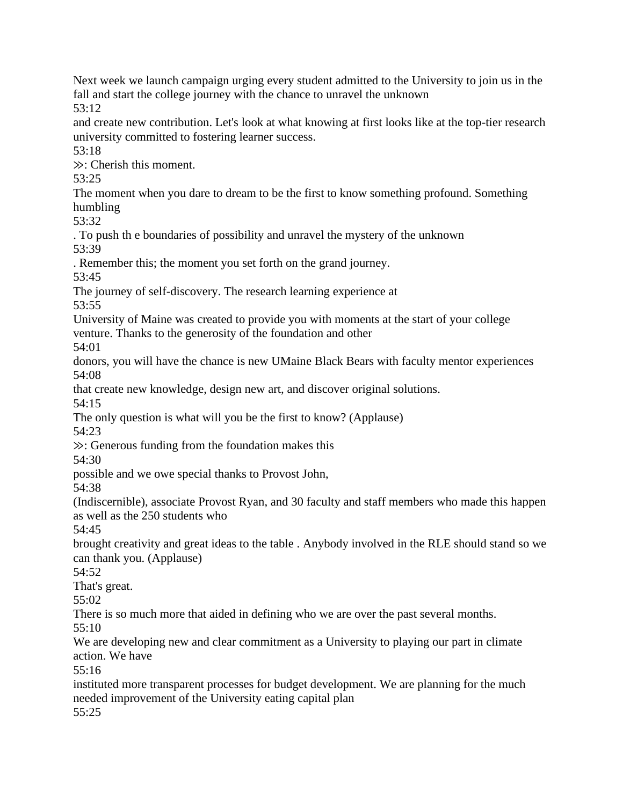Next week we launch campaign urging every student admitted to the University to join us in the fall and start the college journey with the chance to unravel the unknown

53:12

and create new contribution. Let's look at what knowing at first looks like at the top-tier research university committed to fostering learner success.

53:18

≫: Cherish this moment.

53:25

The moment when you dare to dream to be the first to know something profound. Something humbling

53:32

. To push th e boundaries of possibility and unravel the mystery of the unknown 53:39

. Remember this; the moment you set forth on the grand journey.

53:45

The journey of self-discovery. The research learning experience at

53:55

University of Maine was created to provide you with moments at the start of your college venture. Thanks to the generosity of the foundation and other

54:01

donors, you will have the chance is new UMaine Black Bears with faculty mentor experiences 54:08

that create new knowledge, design new art, and discover original solutions.

54:15

The only question is what will you be the first to know? (Applause)

54:23

≫: Generous funding from the foundation makes this

54:30

possible and we owe special thanks to Provost John,

54:38

(Indiscernible), associate Provost Ryan, and 30 faculty and staff members who made this happen as well as the 250 students who

54:45

brought creativity and great ideas to the table . Anybody involved in the RLE should stand so we can thank you. (Applause)

54:52

That's great.

55:02

There is so much more that aided in defining who we are over the past several months.

55:10

We are developing new and clear commitment as a University to playing our part in climate action. We have

 $55:16$ 

instituted more transparent processes for budget development. We are planning for the much needed improvement of the University eating capital plan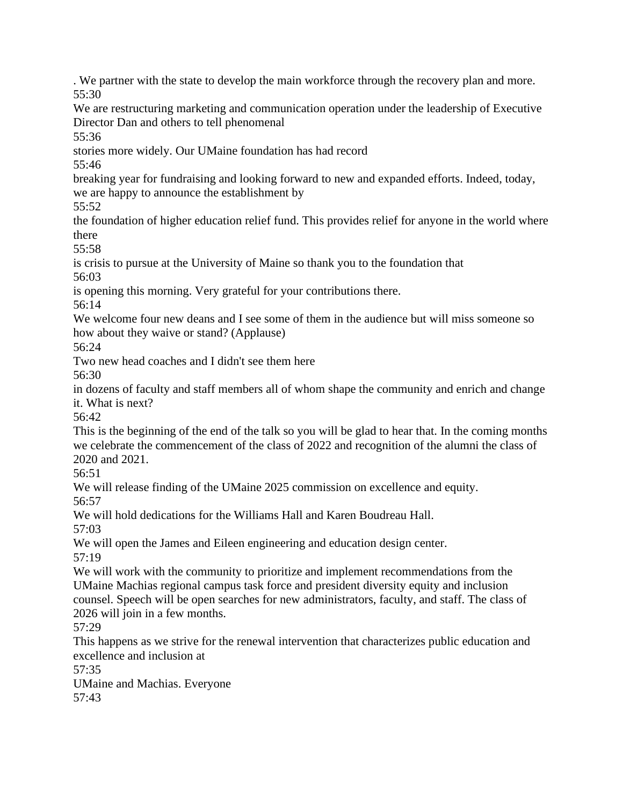. We partner with the state to develop the main workforce through the recovery plan and more. 55:30

We are restructuring marketing and communication operation under the leadership of Executive Director Dan and others to tell phenomenal

55:36

stories more widely. Our UMaine foundation has had record

55:46

breaking year for fundraising and looking forward to new and expanded efforts. Indeed, today, we are happy to announce the establishment by

55:52

the foundation of higher education relief fund. This provides relief for anyone in the world where there

55:58

is crisis to pursue at the University of Maine so thank you to the foundation that 56:03

is opening this morning. Very grateful for your contributions there.

56:14

We welcome four new deans and I see some of them in the audience but will miss someone so how about they waive or stand? (Applause)

56:24

Two new head coaches and I didn't see them here

56:30

in dozens of faculty and staff members all of whom shape the community and enrich and change it. What is next?

 $56.42$ 

This is the beginning of the end of the talk so you will be glad to hear that. In the coming months we celebrate the commencement of the class of 2022 and recognition of the alumni the class of 2020 and 2021.

56:51

We will release finding of the UMaine 2025 commission on excellence and equity.

56:57

We will hold dedications for the Williams Hall and Karen Boudreau Hall.

57:03

We will open the James and Eileen engineering and education design center. 57:19

We will work with the community to prioritize and implement recommendations from the UMaine Machias regional campus task force and president diversity equity and inclusion counsel. Speech will be open searches for new administrators, faculty, and staff. The class of 2026 will join in a few months.

57:29

This happens as we strive for the renewal intervention that characterizes public education and excellence and inclusion at

57:35

UMaine and Machias. Everyone 57:43